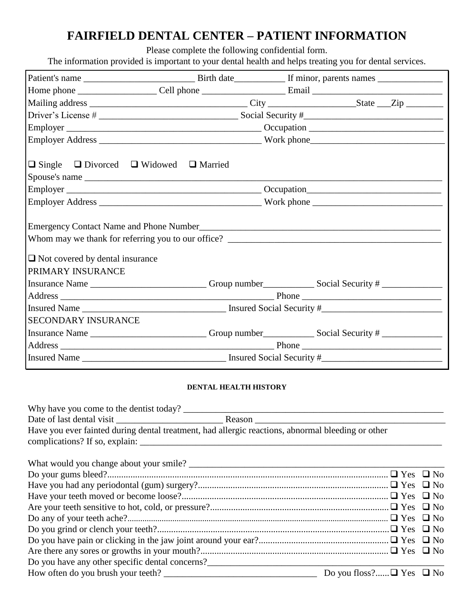# **FAIRFIELD DENTAL CENTER – PATIENT INFORMATION**

Please complete the following confidential form.

The information provided is important to your dental health and helps treating you for dental services.

|                                        | $\Box$ Single $\Box$ Divorced $\Box$ Widowed $\Box$ Married                                                |  |  |
|----------------------------------------|------------------------------------------------------------------------------------------------------------|--|--|
|                                        | Spouse's name                                                                                              |  |  |
|                                        |                                                                                                            |  |  |
|                                        |                                                                                                            |  |  |
|                                        |                                                                                                            |  |  |
|                                        |                                                                                                            |  |  |
| $\Box$ Not covered by dental insurance |                                                                                                            |  |  |
| PRIMARY INSURANCE                      |                                                                                                            |  |  |
|                                        | Insurance Name ____________________________Group number_______________Social Security # ____________       |  |  |
|                                        |                                                                                                            |  |  |
|                                        |                                                                                                            |  |  |
| <b>SECONDARY INSURANCE</b>             |                                                                                                            |  |  |
|                                        | Insurance Name ____________________________Group number________________Social Security # _________________ |  |  |
|                                        |                                                                                                            |  |  |
|                                        |                                                                                                            |  |  |

## **DENTAL HEALTH HISTORY**

| Have you ever fainted during dental treatment, had allergic reactions, abnormal bleeding or other                  |                                    |  |
|--------------------------------------------------------------------------------------------------------------------|------------------------------------|--|
|                                                                                                                    |                                    |  |
|                                                                                                                    |                                    |  |
|                                                                                                                    |                                    |  |
|                                                                                                                    |                                    |  |
|                                                                                                                    |                                    |  |
|                                                                                                                    |                                    |  |
|                                                                                                                    |                                    |  |
|                                                                                                                    |                                    |  |
|                                                                                                                    |                                    |  |
| Do you have any other specific dental concerns?<br><u>Letter and the contract of the specific dental concerns?</u> |                                    |  |
| How often do you brush your teeth?                                                                                 | Do you floss? $\Box$ Yes $\Box$ No |  |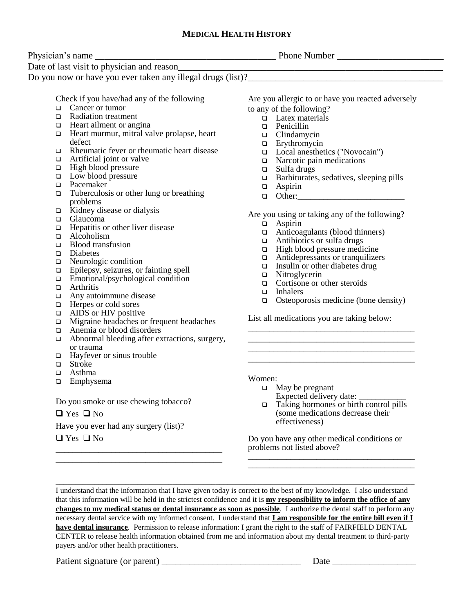# **MEDICAL HEALTH HISTORY**

| Date of last visit to physician and reason_                                |                                                     |  |
|----------------------------------------------------------------------------|-----------------------------------------------------|--|
|                                                                            | <u> 1989 - Johann Barbara, martxa alemaniar arg</u> |  |
|                                                                            |                                                     |  |
| Check if you have/had any of the following                                 | Are you allergic to or have you reacted adversely   |  |
| Cancer or tumor<br>O.                                                      | to any of the following?                            |  |
| Radiation treatment                                                        | $\Box$ Latex materials                              |  |
| Heart ailment or angina<br>□                                               | Penicillin<br>$\Box$                                |  |
| Heart murmur, mitral valve prolapse, heart<br>o.                           | Clindamycin<br>$\Box$                               |  |
| defect                                                                     | Erythromycin<br>$\Box$                              |  |
| Rheumatic fever or rheumatic heart disease<br>□                            | Local anesthetics ("Novocain")<br>$\Box$            |  |
| Artificial joint or valve<br>$\Box$                                        | Narcotic pain medications<br>$\Box$                 |  |
| High blood pressure<br>$\Box$                                              | Sulfa drugs<br>$\Box$                               |  |
| Low blood pressure<br>$\Box$                                               | Barbiturates, sedatives, sleeping pills<br>$\Box$   |  |
| Pacemaker<br>$\Box$                                                        | Aspirin<br>$\Box$                                   |  |
| Tuberculosis or other lung or breathing<br>□                               | Other:<br>$\Box$                                    |  |
| problems                                                                   |                                                     |  |
| Kidney disease or dialysis<br>$\Box$                                       | Are you using or taking any of the following?       |  |
| Glaucoma<br>$\Box$                                                         | Aspirin<br>$\Box$                                   |  |
| Hepatitis or other liver disease<br>$\Box$                                 | Anticoagulants (blood thinners)<br>$\Box$           |  |
| Alcoholism<br>$\Box$                                                       | Antibiotics or sulfa drugs<br>$\Box$                |  |
| <b>Blood</b> transfusion<br>$\Box$                                         | High blood pressure medicine<br>$\Box$              |  |
| Diabetes<br>$\Box$                                                         | Antidepressants or tranquilizers<br>$\Box$          |  |
| Neurologic condition<br>□                                                  | Insulin or other diabetes drug<br>$\Box$            |  |
| Epilepsy, seizures, or fainting spell<br>$\Box$                            | Nitroglycerin<br>$\Box$                             |  |
| Emotional/psychological condition<br>$\Box$                                | Cortisone or other steroids<br>$\Box$               |  |
| Arthritis<br>$\Box$                                                        | <b>Inhalers</b><br>$\Box$                           |  |
| Any autoimmune disease<br>$\Box$                                           | Osteoporosis medicine (bone density)<br>$\Box$      |  |
| Herpes or cold sores<br>□                                                  |                                                     |  |
| AIDS or HIV positive<br>$\Box$<br>Migraine headaches or frequent headaches | List all medications you are taking below:          |  |
| □<br>Anemia or blood disorders                                             |                                                     |  |
| $\Box$                                                                     |                                                     |  |
| Abnormal bleeding after extractions, surgery,<br>$\Box$                    |                                                     |  |
| or trauma<br>Hayfever or sinus trouble<br>□                                |                                                     |  |
| Stroke<br>$\Box$                                                           |                                                     |  |
| Asthma<br>□                                                                |                                                     |  |
| Emphysema<br>□                                                             | Women:                                              |  |
|                                                                            | $\Box$ May be pregnant                              |  |
|                                                                            | Expected delivery date:                             |  |
| Do you smoke or use chewing tobacco?                                       | Taking hormones or birth control pills<br>$\Box$    |  |
| $\Box$ Yes $\Box$ No                                                       | (some medications decrease their                    |  |
| Have you ever had any surgery (list)?                                      | effectiveness)                                      |  |
| $\Box$ Yes $\Box$ No                                                       | Do you have any other medical conditions or         |  |
|                                                                            |                                                     |  |

\_\_\_\_\_\_\_\_\_\_\_\_\_\_\_\_\_\_\_\_\_\_\_\_\_\_\_\_\_\_\_\_\_\_\_\_\_\_\_\_\_\_\_\_\_\_\_\_\_\_\_\_\_\_\_\_\_\_\_\_\_\_\_\_\_\_\_\_\_\_\_\_\_\_\_\_\_\_\_\_\_\_\_\_\_\_\_\_\_\_\_\_ I understand that the information that I have given today is correct to the best of my knowledge. I also understand that this information will be held in the strictest confidence and it is **my responsibility to inform the office of any changes to my medical status or dental insurance as soon as possible**. I authorize the dental staff to perform any necessary dental service with my informed consent. I understand that **I am responsible for the entire bill even if I have dental insurance**. Permission to release information: I grant the right to the staff of FAIRFIELD DENTAL CENTER to release health information obtained from me and information about my dental treatment to third-party payers and/or other health practitioners.

Patient signature (or parent) \_\_\_\_\_\_\_\_\_\_\_\_\_\_\_\_\_\_\_\_\_\_\_\_\_\_\_\_\_\_ Date \_\_\_\_\_\_\_\_\_\_\_\_\_\_\_\_\_\_

\_\_\_\_\_\_\_\_\_\_\_\_\_\_\_\_\_\_\_\_\_\_\_\_\_\_\_\_\_\_\_\_\_\_\_\_\_\_\_ \_\_\_\_\_\_\_\_\_\_\_\_\_\_\_\_\_\_\_\_\_\_\_\_\_\_\_\_\_\_\_\_\_\_\_\_\_\_\_

\_\_\_\_\_\_\_\_\_\_\_\_\_\_\_\_\_\_\_\_\_\_\_\_\_\_\_\_\_\_\_\_\_\_\_\_\_\_\_ \_\_\_\_\_\_\_\_\_\_\_\_\_\_\_\_\_\_\_\_\_\_\_\_\_\_\_\_\_\_\_\_\_\_\_\_\_\_\_

problems not listed above?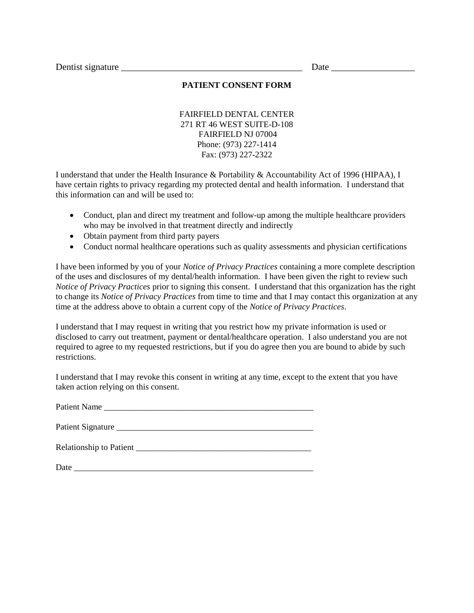Dentist signature \_\_\_\_\_\_\_\_\_\_\_\_\_\_\_\_\_\_\_\_\_\_\_\_\_\_\_\_\_\_\_\_\_\_\_\_\_\_\_ Date \_\_\_\_\_\_\_\_\_\_\_\_\_\_\_\_\_\_

#### **PATIENT CONSENT FORM**

FAIRFIELD DENTAL CENTER 271 RT 46 WEST SUITE-D-108 FAIRFIELD NJ 07004 Phone: (973) 227-1414 Fax: (973) 227-2322

I understand that under the Health Insurance & Portability & Accountability Act of 1996 (HIPAA), I have certain rights to privacy regarding my protected dental and health information. I understand that this information can and will be used to:

- Conduct, plan and direct my treatment and follow-up among the multiple healthcare providers who may be involved in that treatment directly and indirectly
- Obtain payment from third party payers
- Conduct normal healthcare operations such as quality assessments and physician certifications

I have been informed by you of your *Notice of Privacy Practices* containing a more complete description of the uses and disclosures of my dental/health information. I have been given the right to review such *Notice of Privacy Practices* prior to signing this consent. I understand that this organization has the right to change its *Notice of Privacy Practices* from time to time and that I may contact this organization at any time at the address above to obtain a current copy of the *Notice of Privacy Practices*.

I understand that I may request in writing that you restrict how my private information is used or disclosed to carry out treatment, payment or dental/healthcare operation. I also understand you are not required to agree to my requested restrictions, but if you do agree then you are bound to abide by such restrictions.

I understand that I may revoke this consent in writing at any time, except to the extent that you have taken action relying on this consent.

Patient Name \_\_\_\_\_\_\_\_\_\_\_\_\_\_\_\_\_\_\_\_\_\_\_\_\_\_\_\_\_\_\_\_\_\_\_\_\_\_\_\_\_\_\_\_\_\_\_\_\_

Patient Signature \_\_\_\_\_\_\_\_\_\_\_\_\_\_\_\_\_\_\_\_\_\_\_\_\_\_\_\_\_\_\_\_\_\_\_\_\_\_\_\_\_\_\_\_\_\_

Relationship to Patient

Date  $\Box$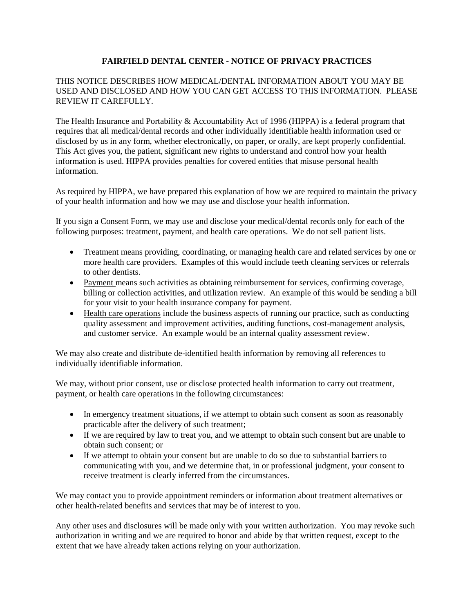## **FAIRFIELD DENTAL CENTER - NOTICE OF PRIVACY PRACTICES**

## THIS NOTICE DESCRIBES HOW MEDICAL/DENTAL INFORMATION ABOUT YOU MAY BE USED AND DISCLOSED AND HOW YOU CAN GET ACCESS TO THIS INFORMATION. PLEASE REVIEW IT CAREFULLY.

The Health Insurance and Portability & Accountability Act of 1996 (HIPPA) is a federal program that requires that all medical/dental records and other individually identifiable health information used or disclosed by us in any form, whether electronically, on paper, or orally, are kept properly confidential. This Act gives you, the patient, significant new rights to understand and control how your health information is used. HIPPA provides penalties for covered entities that misuse personal health information.

As required by HIPPA, we have prepared this explanation of how we are required to maintain the privacy of your health information and how we may use and disclose your health information.

If you sign a Consent Form, we may use and disclose your medical/dental records only for each of the following purposes: treatment, payment, and health care operations. We do not sell patient lists.

- Treatment means providing, coordinating, or managing health care and related services by one or more health care providers. Examples of this would include teeth cleaning services or referrals to other dentists.
- Payment means such activities as obtaining reimbursement for services, confirming coverage, billing or collection activities, and utilization review. An example of this would be sending a bill for your visit to your health insurance company for payment.
- Health care operations include the business aspects of running our practice, such as conducting quality assessment and improvement activities, auditing functions, cost-management analysis, and customer service. An example would be an internal quality assessment review.

We may also create and distribute de-identified health information by removing all references to individually identifiable information.

We may, without prior consent, use or disclose protected health information to carry out treatment, payment, or health care operations in the following circumstances:

- In emergency treatment situations, if we attempt to obtain such consent as soon as reasonably practicable after the delivery of such treatment;
- If we are required by law to treat you, and we attempt to obtain such consent but are unable to obtain such consent; or
- If we attempt to obtain your consent but are unable to do so due to substantial barriers to communicating with you, and we determine that, in or professional judgment, your consent to receive treatment is clearly inferred from the circumstances.

We may contact you to provide appointment reminders or information about treatment alternatives or other health-related benefits and services that may be of interest to you.

Any other uses and disclosures will be made only with your written authorization. You may revoke such authorization in writing and we are required to honor and abide by that written request, except to the extent that we have already taken actions relying on your authorization.